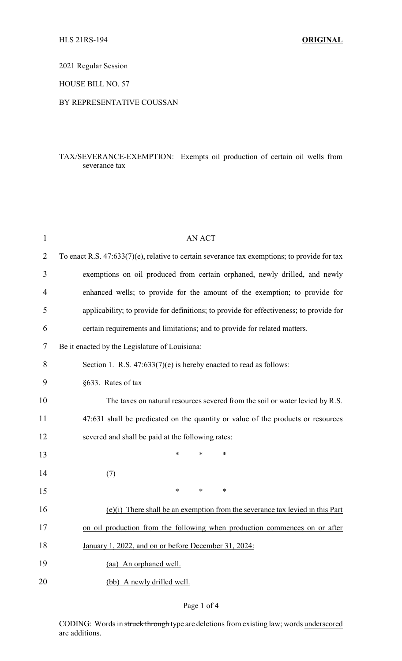2021 Regular Session

HOUSE BILL NO. 57

### BY REPRESENTATIVE COUSSAN

## TAX/SEVERANCE-EXEMPTION: Exempts oil production of certain oil wells from severance tax

| $\mathbf{1}$   | <b>AN ACT</b>                                                                                   |
|----------------|-------------------------------------------------------------------------------------------------|
| $\overline{2}$ | To enact R.S. $47:633(7)(e)$ , relative to certain severance tax exemptions; to provide for tax |
| 3              | exemptions on oil produced from certain orphaned, newly drilled, and newly                      |
| 4              | enhanced wells; to provide for the amount of the exemption; to provide for                      |
| 5              | applicability; to provide for definitions; to provide for effectiveness; to provide for         |
| 6              | certain requirements and limitations; and to provide for related matters.                       |
| 7              | Be it enacted by the Legislature of Louisiana:                                                  |
| 8              | Section 1. R.S. $47:633(7)(e)$ is hereby enacted to read as follows:                            |
| 9              | §633. Rates of tax                                                                              |
| 10             | The taxes on natural resources severed from the soil or water levied by R.S.                    |
| 11             | 47:631 shall be predicated on the quantity or value of the products or resources                |
| 12             | severed and shall be paid at the following rates:                                               |
| 13             | *<br>*<br>∗                                                                                     |
| 14             | (7)                                                                                             |
| 15             | *<br>$\ast$<br>$\ast$                                                                           |
| 16             | $(e)(i)$ There shall be an exemption from the severance tax levied in this Part                 |
| 17             | on oil production from the following when production commences on or after                      |
| 18             | January 1, 2022, and on or before December 31, 2024:                                            |
| 19             | (aa) An orphaned well.                                                                          |
| 20             | (bb) A newly drilled well.                                                                      |
|                |                                                                                                 |

## Page 1 of 4

CODING: Words in struck through type are deletions from existing law; words underscored are additions.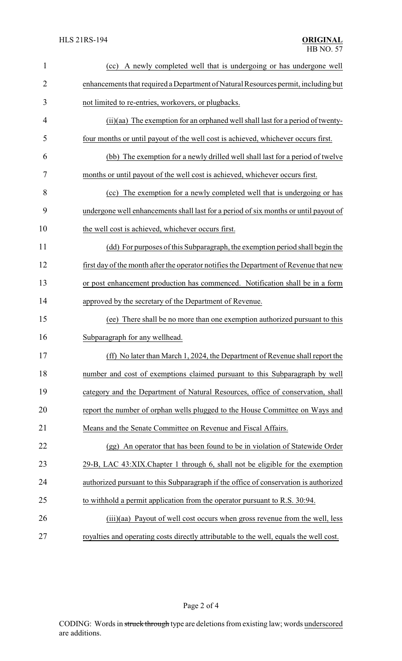| $\mathbf{1}$   | A newly completed well that is undergoing or has undergone well<br>(cc)                |
|----------------|----------------------------------------------------------------------------------------|
| $\overline{2}$ | enhancements that required a Department of Natural Resources permit, including but     |
| 3              | not limited to re-entries, workovers, or plugbacks.                                    |
| 4              | (ii)(aa) The exemption for an orphaned well shall last for a period of twenty-         |
| 5              | four months or until payout of the well cost is achieved, whichever occurs first.      |
| 6              | (bb) The exemption for a newly drilled well shall last for a period of twelve          |
| 7              | months or until payout of the well cost is achieved, whichever occurs first.           |
| 8              | (cc) The exemption for a newly completed well that is undergoing or has                |
| 9              | undergone well enhancements shall last for a period of six months or until payout of   |
| 10             | the well cost is achieved, whichever occurs first.                                     |
| 11             | (dd) For purposes of this Subparagraph, the exemption period shall begin the           |
| 12             | first day of the month after the operator notifies the Department of Revenue that new  |
| 13             | or post enhancement production has commenced. Notification shall be in a form          |
| 14             | approved by the secretary of the Department of Revenue.                                |
| 15             | (ee) There shall be no more than one exemption authorized pursuant to this             |
| 16             | Subparagraph for any wellhead.                                                         |
| 17             | (ff) No later than March 1, 2024, the Department of Revenue shall report the           |
| 18             | number and cost of exemptions claimed pursuant to this Subparagraph by well            |
| 19             | category and the Department of Natural Resources, office of conservation, shall        |
| 20             | report the number of orphan wells plugged to the House Committee on Ways and           |
| 21             | Means and the Senate Committee on Revenue and Fiscal Affairs.                          |
| 22             | (gg) An operator that has been found to be in violation of Statewide Order             |
| 23             | 29-B, LAC 43:XIX. Chapter 1 through 6, shall not be eligible for the exemption         |
| 24             | authorized pursuant to this Subparagraph if the office of conservation is authorized   |
| 25             | to withhold a permit application from the operator pursuant to R.S. 30:94.             |
| 26             | (iii)(aa) Payout of well cost occurs when gross revenue from the well, less            |
| 27             | royalties and operating costs directly attributable to the well, equals the well cost. |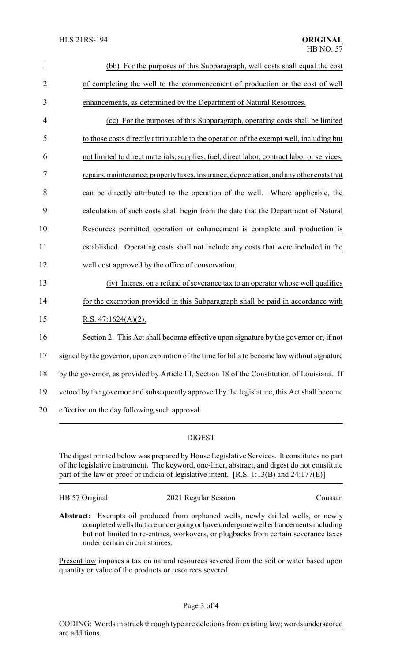| $\mathbf{1}$   | (bb) For the purposes of this Subparagraph, well costs shall equal the cost                   |
|----------------|-----------------------------------------------------------------------------------------------|
| $\overline{2}$ | of completing the well to the commencement of production or the cost of well                  |
| 3              | enhancements, as determined by the Department of Natural Resources.                           |
| $\overline{4}$ | (cc) For the purposes of this Subparagraph, operating costs shall be limited                  |
| 5              | to those costs directly attributable to the operation of the exempt well, including but       |
| 6              | not limited to direct materials, supplies, fuel, direct labor, contract labor or services,    |
| 7              | repairs, maintenance, property taxes, insurance, depreciation, and any other costs that       |
| 8              | can be directly attributed to the operation of the well. Where applicable, the                |
| 9              | calculation of such costs shall begin from the date that the Department of Natural            |
| 10             | Resources permitted operation or enhancement is complete and production is                    |
| 11             | established. Operating costs shall not include any costs that were included in the            |
| 12             | well cost approved by the office of conservation.                                             |
| 13             | (iv) Interest on a refund of severance tax to an operator whose well qualifies                |
| 14             | for the exemption provided in this Subparagraph shall be paid in accordance with              |
| 15             | R.S. $47:1624(A)(2)$ .                                                                        |
| 16             | Section 2. This Act shall become effective upon signature by the governor or, if not          |
| 17             | signed by the governor, upon expiration of the time for bills to become law without signature |
| 18             | by the governor, as provided by Article III, Section 18 of the Constitution of Louisiana. If  |
| 19             | vetoed by the governor and subsequently approved by the legislature, this Act shall become    |
| 20             | effective on the day following such approval.                                                 |

# DIGEST

The digest printed below was prepared by House Legislative Services. It constitutes no part of the legislative instrument. The keyword, one-liner, abstract, and digest do not constitute part of the law or proof or indicia of legislative intent. [R.S. 1:13(B) and 24:177(E)]

HB 57 Original 2021 Regular Session Coussan

**Abstract:** Exempts oil produced from orphaned wells, newly drilled wells, or newly completed wells that are undergoing or have undergone well enhancements including but not limited to re-entries, workovers, or plugbacks from certain severance taxes under certain circumstances.

Present law imposes a tax on natural resources severed from the soil or water based upon quantity or value of the products or resources severed.

## Page 3 of 4